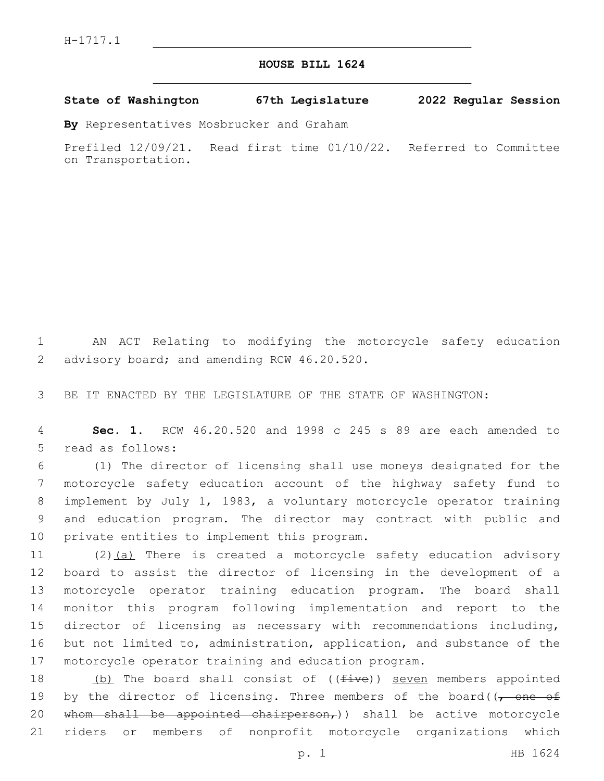## **HOUSE BILL 1624**

**State of Washington 67th Legislature 2022 Regular Session**

**By** Representatives Mosbrucker and Graham

Prefiled 12/09/21. Read first time 01/10/22. Referred to Committee on Transportation.

1 AN ACT Relating to modifying the motorcycle safety education 2 advisory board; and amending RCW 46.20.520.

3 BE IT ENACTED BY THE LEGISLATURE OF THE STATE OF WASHINGTON:

4 **Sec. 1.** RCW 46.20.520 and 1998 c 245 s 89 are each amended to 5 read as follows:

 (1) The director of licensing shall use moneys designated for the motorcycle safety education account of the highway safety fund to implement by July 1, 1983, a voluntary motorcycle operator training and education program. The director may contract with public and 10 private entities to implement this program.

11 (2)(a) There is created a motorcycle safety education advisory board to assist the director of licensing in the development of a motorcycle operator training education program. The board shall monitor this program following implementation and report to the director of licensing as necessary with recommendations including, but not limited to, administration, application, and substance of the motorcycle operator training and education program.

18 (b) The board shall consist of ((five)) seven members appointed 19 by the director of licensing. Three members of the board( $\sqrt{ }$  one of 20 whom shall be appointed chairperson,) shall be active motorcycle 21 riders or members of nonprofit motorcycle organizations which

p. 1 HB 1624